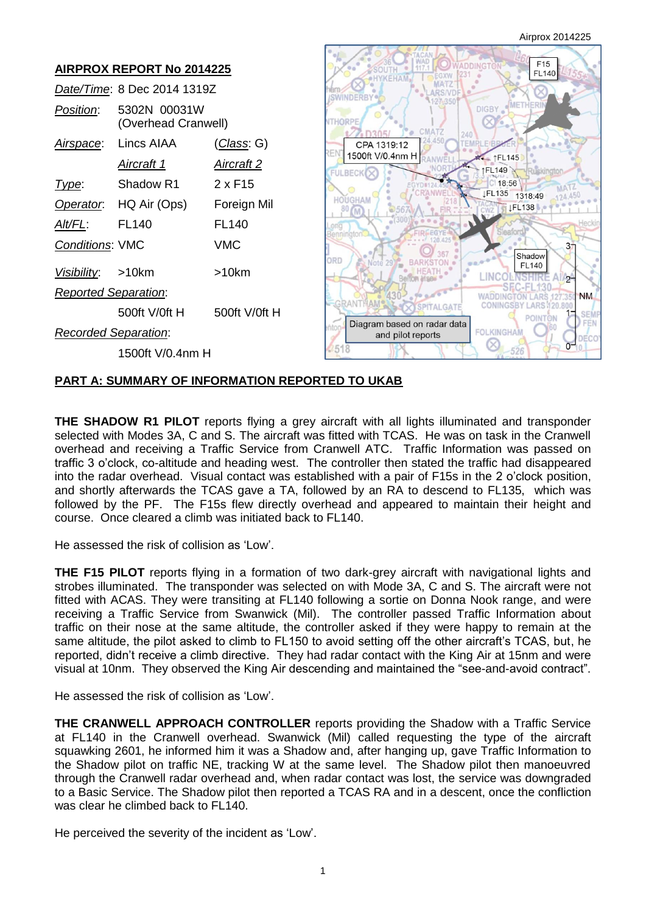



## **PART A: SUMMARY OF INFORMATION REPORTED TO UKAB**

**THE SHADOW R1 PILOT** reports flying a grey aircraft with all lights illuminated and transponder selected with Modes 3A, C and S. The aircraft was fitted with TCAS. He was on task in the Cranwell overhead and receiving a Traffic Service from Cranwell ATC. Traffic Information was passed on traffic 3 o'clock, co-altitude and heading west. The controller then stated the traffic had disappeared into the radar overhead. Visual contact was established with a pair of F15s in the 2 o'clock position, and shortly afterwards the TCAS gave a TA, followed by an RA to descend to FL135, which was followed by the PF. The F15s flew directly overhead and appeared to maintain their height and course. Once cleared a climb was initiated back to FL140.

He assessed the risk of collision as 'Low'.

**THE F15 PILOT** reports flying in a formation of two dark-grey aircraft with navigational lights and strobes illuminated. The transponder was selected on with Mode 3A, C and S. The aircraft were not fitted with ACAS. They were transiting at FL140 following a sortie on Donna Nook range, and were receiving a Traffic Service from Swanwick (Mil). The controller passed Traffic Information about traffic on their nose at the same altitude, the controller asked if they were happy to remain at the same altitude, the pilot asked to climb to FL150 to avoid setting off the other aircraft's TCAS, but, he reported, didn't receive a climb directive. They had radar contact with the King Air at 15nm and were visual at 10nm. They observed the King Air descending and maintained the "see-and-avoid contract".

He assessed the risk of collision as 'Low'.

**THE CRANWELL APPROACH CONTROLLER** reports providing the Shadow with a Traffic Service at FL140 in the Cranwell overhead. Swanwick (Mil) called requesting the type of the aircraft squawking 2601, he informed him it was a Shadow and, after hanging up, gave Traffic Information to the Shadow pilot on traffic NE, tracking W at the same level. The Shadow pilot then manoeuvred through the Cranwell radar overhead and, when radar contact was lost, the service was downgraded to a Basic Service. The Shadow pilot then reported a TCAS RA and in a descent, once the confliction was clear he climbed back to FL140.

He perceived the severity of the incident as 'Low'.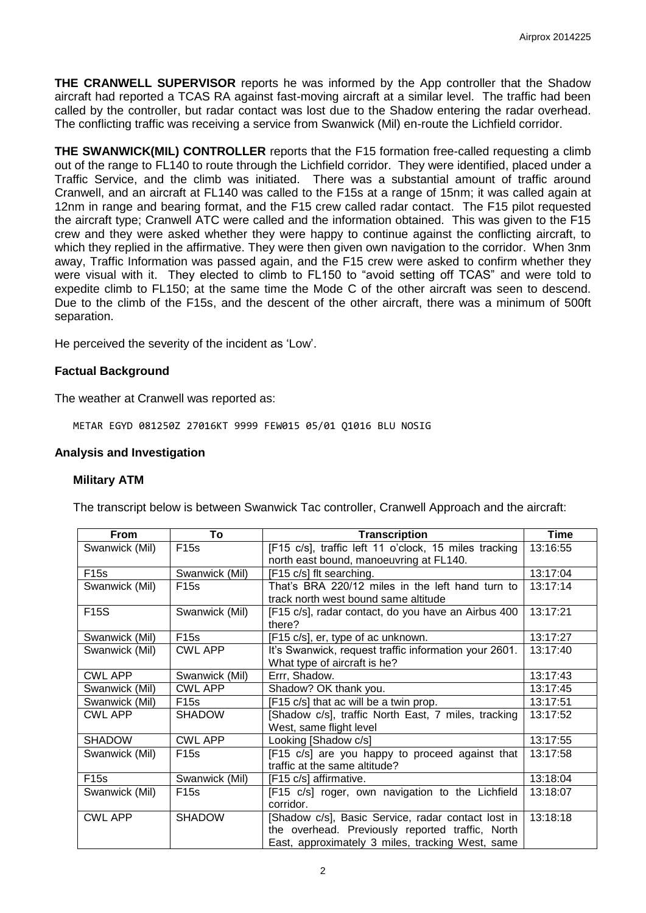**THE CRANWELL SUPERVISOR** reports he was informed by the App controller that the Shadow aircraft had reported a TCAS RA against fast-moving aircraft at a similar level. The traffic had been called by the controller, but radar contact was lost due to the Shadow entering the radar overhead. The conflicting traffic was receiving a service from Swanwick (Mil) en-route the Lichfield corridor.

**THE SWANWICK(MIL) CONTROLLER** reports that the F15 formation free-called requesting a climb out of the range to FL140 to route through the Lichfield corridor. They were identified, placed under a Traffic Service, and the climb was initiated. There was a substantial amount of traffic around Cranwell, and an aircraft at FL140 was called to the F15s at a range of 15nm; it was called again at 12nm in range and bearing format, and the F15 crew called radar contact. The F15 pilot requested the aircraft type; Cranwell ATC were called and the information obtained. This was given to the F15 crew and they were asked whether they were happy to continue against the conflicting aircraft, to which they replied in the affirmative. They were then given own navigation to the corridor. When 3nm away, Traffic Information was passed again, and the F15 crew were asked to confirm whether they were visual with it. They elected to climb to FL150 to "avoid setting off TCAS" and were told to expedite climb to FL150; at the same time the Mode C of the other aircraft was seen to descend. Due to the climb of the F15s, and the descent of the other aircraft, there was a minimum of 500ft separation.

He perceived the severity of the incident as 'Low'.

## **Factual Background**

The weather at Cranwell was reported as:

METAR EGYD 081250Z 27016KT 9999 FEW015 05/01 Q1016 BLU NOSIG

### **Analysis and Investigation**

### **Military ATM**

The transcript below is between Swanwick Tac controller, Cranwell Approach and the aircraft:

| <b>From</b>       | To               | <b>Transcription</b>                                  | <b>Time</b> |
|-------------------|------------------|-------------------------------------------------------|-------------|
| Swanwick (Mil)    | F <sub>15s</sub> | [F15 c/s], traffic left 11 o'clock, 15 miles tracking | 13:16:55    |
|                   |                  | north east bound, manoeuvring at FL140.               |             |
| F <sub>15s</sub>  | Swanwick (Mil)   | [F15 c/s] flt searching.                              | 13:17:04    |
| Swanwick (Mil)    | F <sub>15s</sub> | That's BRA 220/12 miles in the left hand turn to      | 13:17:14    |
|                   |                  | track north west bound same altitude                  |             |
| F <sub>15</sub> S | Swanwick (Mil)   | [F15 c/s], radar contact, do you have an Airbus 400   | 13:17:21    |
|                   |                  | there?                                                |             |
| Swanwick (Mil)    | F <sub>15s</sub> | [F15 c/s], er, type of ac unknown.                    | 13:17:27    |
| Swanwick (Mil)    | <b>CWL APP</b>   | It's Swanwick, request traffic information your 2601. | 13:17:40    |
|                   |                  | What type of aircraft is he?                          |             |
| <b>CWL APP</b>    | Swanwick (Mil)   | Errr, Shadow.                                         | 13:17:43    |
| Swanwick (Mil)    | <b>CWL APP</b>   | Shadow? OK thank you.                                 | 13:17:45    |
| Swanwick (Mil)    | F <sub>15s</sub> | [F15 c/s] that ac will be a twin prop.                | 13:17:51    |
| <b>CWL APP</b>    | <b>SHADOW</b>    | [Shadow c/s], traffic North East, 7 miles, tracking   | 13:17:52    |
|                   |                  | West, same flight level                               |             |
| <b>SHADOW</b>     | <b>CWL APP</b>   | Looking [Shadow c/s]                                  | 13:17:55    |
| Swanwick (Mil)    | F <sub>15s</sub> | [F15 c/s] are you happy to proceed against that       | 13:17:58    |
|                   |                  | traffic at the same altitude?                         |             |
| F15s              | Swanwick (Mil)   | [F15 c/s] affirmative.                                | 13:18:04    |
| Swanwick (Mil)    | F <sub>15s</sub> | [F15 c/s] roger, own navigation to the Lichfield      | 13:18:07    |
|                   |                  | corridor.                                             |             |
| <b>CWL APP</b>    | <b>SHADOW</b>    | [Shadow c/s], Basic Service, radar contact lost in    | 13:18:18    |
|                   |                  | the overhead. Previously reported traffic, North      |             |
|                   |                  | East, approximately 3 miles, tracking West, same      |             |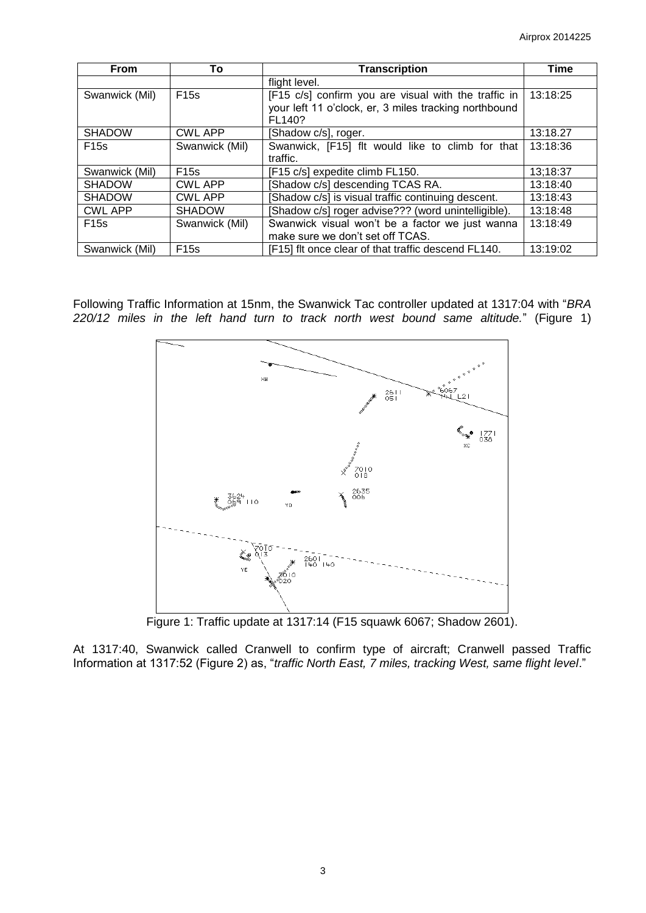| <b>From</b>      | To               | <b>Transcription</b>                                                                                                    | Time     |
|------------------|------------------|-------------------------------------------------------------------------------------------------------------------------|----------|
|                  |                  | flight level.                                                                                                           |          |
| Swanwick (Mil)   | F <sub>15s</sub> | [F15 c/s] confirm you are visual with the traffic in<br>your left 11 o'clock, er, 3 miles tracking northbound<br>FL140? | 13:18:25 |
| <b>SHADOW</b>    | <b>CWL APP</b>   | [Shadow c/s], roger.                                                                                                    | 13:18.27 |
| F <sub>15s</sub> | Swanwick (Mil)   | Swanwick, [F15] flt would like to climb for that<br>traffic.                                                            | 13:18:36 |
| Swanwick (Mil)   | F <sub>15s</sub> | [F15 c/s] expedite climb FL150.                                                                                         | 13:18:37 |
| <b>SHADOW</b>    | <b>CWL APP</b>   | [Shadow c/s] descending TCAS RA.                                                                                        | 13:18:40 |
| <b>SHADOW</b>    | <b>CWL APP</b>   | [Shadow c/s] is visual traffic continuing descent.                                                                      | 13:18:43 |
| <b>CWL APP</b>   | <b>SHADOW</b>    | [Shadow c/s] roger advise??? (word unintelligible).                                                                     | 13:18:48 |
| F <sub>15s</sub> | Swanwick (Mil)   | Swanwick visual won't be a factor we just wanna<br>make sure we don't set off TCAS.                                     | 13:18:49 |
| Swanwick (Mil)   | F <sub>15s</sub> | [F15] fit once clear of that traffic descend FL140.                                                                     | 13:19:02 |

Following Traffic Information at 15nm, the Swanwick Tac controller updated at 1317:04 with "*BRA 220/12 miles in the left hand turn to track north west bound same altitude.*" (Figure 1)



Figure 1: Traffic update at 1317:14 (F15 squawk 6067; Shadow 2601).

At 1317:40, Swanwick called Cranwell to confirm type of aircraft; Cranwell passed Traffic Information at 1317:52 (Figure 2) as, "*traffic North East, 7 miles, tracking West, same flight level*."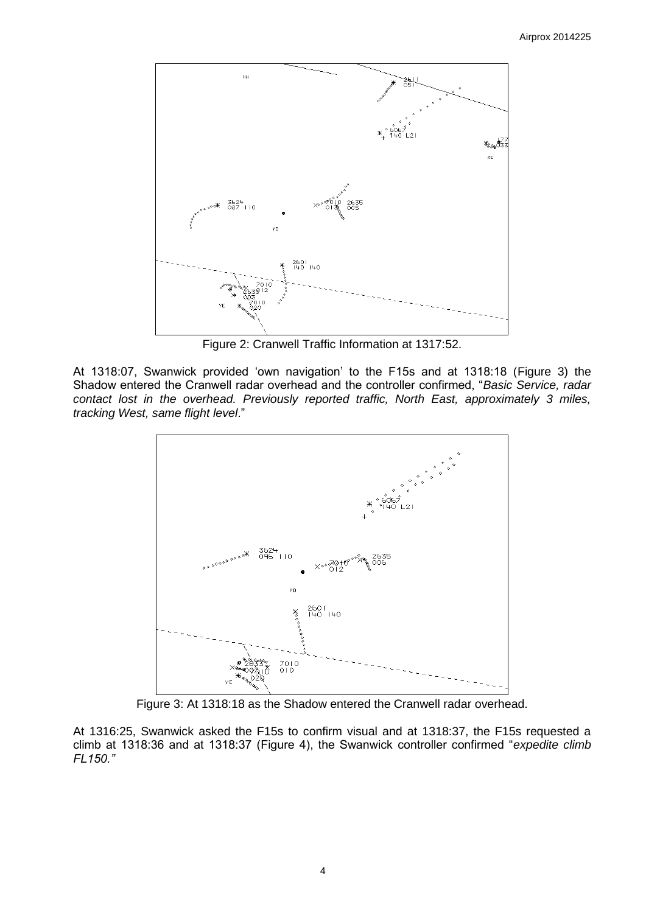

Figure 2: Cranwell Traffic Information at 1317:52.

At 1318:07, Swanwick provided 'own navigation' to the F15s and at 1318:18 (Figure 3) the Shadow entered the Cranwell radar overhead and the controller confirmed, "*Basic Service, radar contact lost in the overhead. Previously reported traffic, North East, approximately 3 miles, tracking West, same flight level*."



Figure 3: At 1318:18 as the Shadow entered the Cranwell radar overhead.

At 1316:25, Swanwick asked the F15s to confirm visual and at 1318:37, the F15s requested a climb at 1318:36 and at 1318:37 (Figure 4), the Swanwick controller confirmed "*expedite climb FL150."*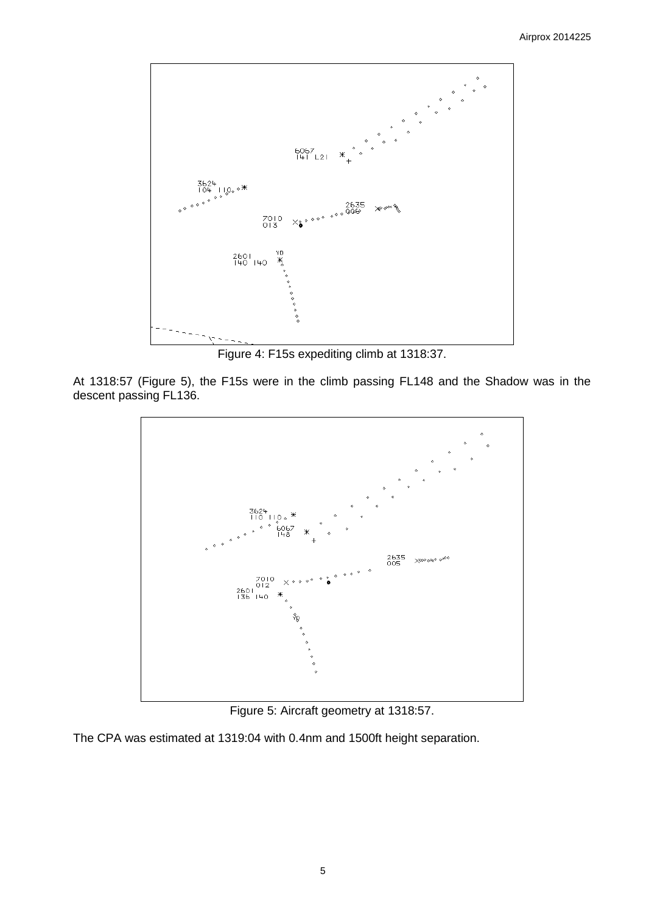

Figure 4: F15s expediting climb at 1318:37.

At 1318:57 (Figure 5), the F15s were in the climb passing FL148 and the Shadow was in the descent passing FL136.



Figure 5: Aircraft geometry at 1318:57.

The CPA was estimated at 1319:04 with 0.4nm and 1500ft height separation.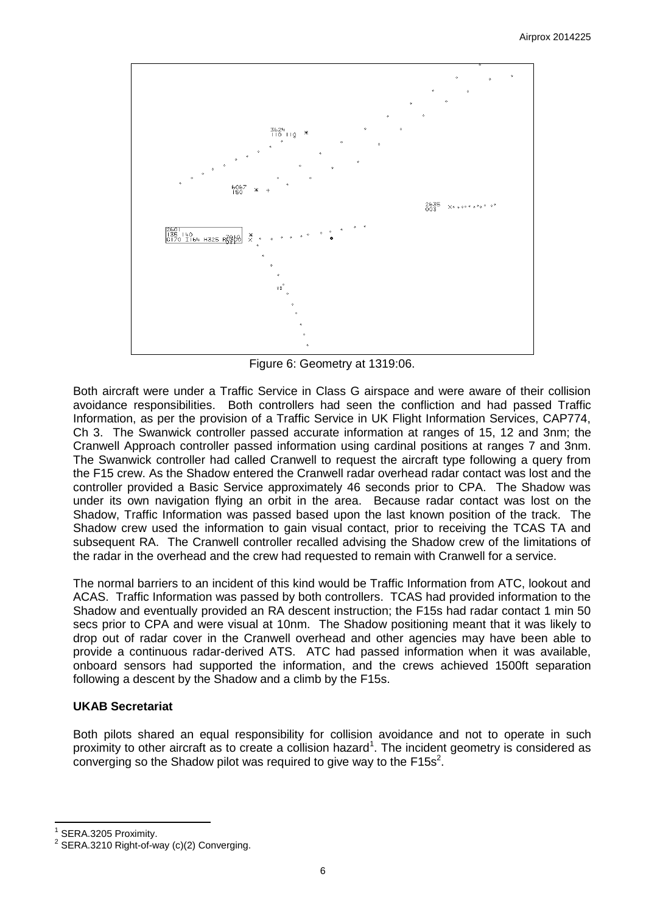

Figure 6: Geometry at 1319:06.

Both aircraft were under a Traffic Service in Class G airspace and were aware of their collision avoidance responsibilities. Both controllers had seen the confliction and had passed Traffic Information, as per the provision of a Traffic Service in UK Flight Information Services, CAP774, Ch 3. The Swanwick controller passed accurate information at ranges of 15, 12 and 3nm; the Cranwell Approach controller passed information using cardinal positions at ranges 7 and 3nm. The Swanwick controller had called Cranwell to request the aircraft type following a query from the F15 crew. As the Shadow entered the Cranwell radar overhead radar contact was lost and the controller provided a Basic Service approximately 46 seconds prior to CPA. The Shadow was under its own navigation flying an orbit in the area. Because radar contact was lost on the Shadow, Traffic Information was passed based upon the last known position of the track. The Shadow crew used the information to gain visual contact, prior to receiving the TCAS TA and subsequent RA. The Cranwell controller recalled advising the Shadow crew of the limitations of the radar in the overhead and the crew had requested to remain with Cranwell for a service.

The normal barriers to an incident of this kind would be Traffic Information from ATC, lookout and ACAS. Traffic Information was passed by both controllers. TCAS had provided information to the Shadow and eventually provided an RA descent instruction; the F15s had radar contact 1 min 50 secs prior to CPA and were visual at 10nm. The Shadow positioning meant that it was likely to drop out of radar cover in the Cranwell overhead and other agencies may have been able to provide a continuous radar-derived ATS. ATC had passed information when it was available, onboard sensors had supported the information, and the crews achieved 1500ft separation following a descent by the Shadow and a climb by the F15s.

### **UKAB Secretariat**

Both pilots shared an equal responsibility for collision avoidance and not to operate in such proximity to other aircraft as to create a collision hazard<sup>1</sup>. The incident geometry is considered as converging so the Shadow pilot was required to give way to the F15s<sup>2</sup>.

 $\overline{\phantom{a}}$ 

<sup>1</sup> SERA.3205 Proximity.

<sup>2</sup> SERA.3210 Right-of-way (c)(2) Converging.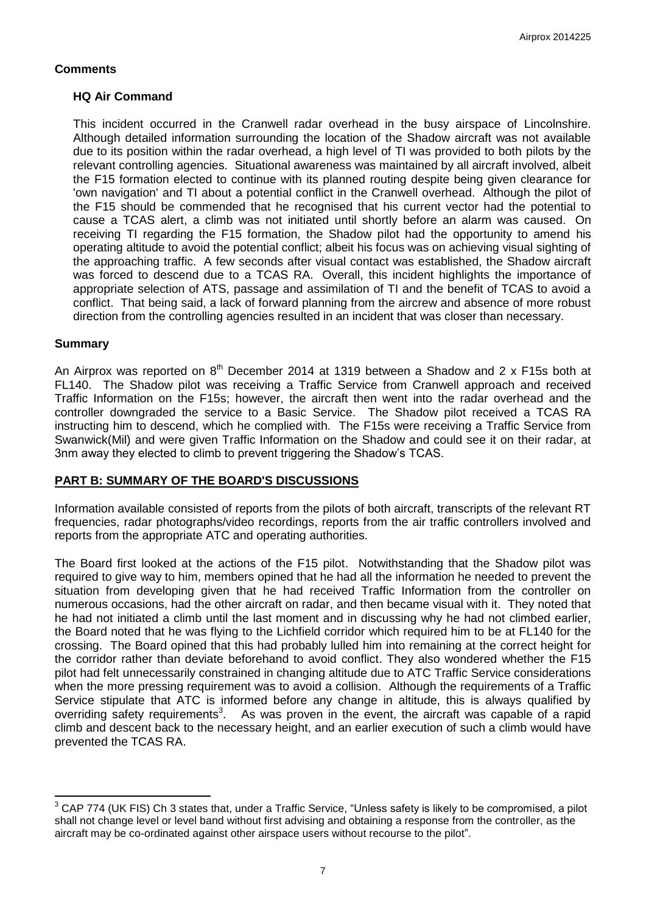# **Comments**

# **HQ Air Command**

This incident occurred in the Cranwell radar overhead in the busy airspace of Lincolnshire. Although detailed information surrounding the location of the Shadow aircraft was not available due to its position within the radar overhead, a high level of TI was provided to both pilots by the relevant controlling agencies. Situational awareness was maintained by all aircraft involved, albeit the F15 formation elected to continue with its planned routing despite being given clearance for 'own navigation' and TI about a potential conflict in the Cranwell overhead. Although the pilot of the F15 should be commended that he recognised that his current vector had the potential to cause a TCAS alert, a climb was not initiated until shortly before an alarm was caused. On receiving TI regarding the F15 formation, the Shadow pilot had the opportunity to amend his operating altitude to avoid the potential conflict; albeit his focus was on achieving visual sighting of the approaching traffic. A few seconds after visual contact was established, the Shadow aircraft was forced to descend due to a TCAS RA. Overall, this incident highlights the importance of appropriate selection of ATS, passage and assimilation of TI and the benefit of TCAS to avoid a conflict. That being said, a lack of forward planning from the aircrew and absence of more robust direction from the controlling agencies resulted in an incident that was closer than necessary.

## **Summary**

 $\overline{a}$ 

An Airprox was reported on  $8<sup>th</sup>$  December 2014 at 1319 between a Shadow and 2 x F15s both at FL140. The Shadow pilot was receiving a Traffic Service from Cranwell approach and received Traffic Information on the F15s; however, the aircraft then went into the radar overhead and the controller downgraded the service to a Basic Service. The Shadow pilot received a TCAS RA instructing him to descend, which he complied with. The F15s were receiving a Traffic Service from Swanwick(Mil) and were given Traffic Information on the Shadow and could see it on their radar, at 3nm away they elected to climb to prevent triggering the Shadow's TCAS.

# **PART B: SUMMARY OF THE BOARD'S DISCUSSIONS**

Information available consisted of reports from the pilots of both aircraft, transcripts of the relevant RT frequencies, radar photographs/video recordings, reports from the air traffic controllers involved and reports from the appropriate ATC and operating authorities.

The Board first looked at the actions of the F15 pilot. Notwithstanding that the Shadow pilot was required to give way to him, members opined that he had all the information he needed to prevent the situation from developing given that he had received Traffic Information from the controller on numerous occasions, had the other aircraft on radar, and then became visual with it. They noted that he had not initiated a climb until the last moment and in discussing why he had not climbed earlier, the Board noted that he was flying to the Lichfield corridor which required him to be at FL140 for the crossing. The Board opined that this had probably lulled him into remaining at the correct height for the corridor rather than deviate beforehand to avoid conflict. They also wondered whether the F15 pilot had felt unnecessarily constrained in changing altitude due to ATC Traffic Service considerations when the more pressing requirement was to avoid a collision. Although the requirements of a Traffic Service stipulate that ATC is informed before any change in altitude, this is always qualified by overriding safety requirements<sup>3</sup>. As was proven in the event, the aircraft was capable of a rapid climb and descent back to the necessary height, and an earlier execution of such a climb would have prevented the TCAS RA.

 $3$  CAP 774 (UK FIS) Ch 3 states that, under a Traffic Service, "Unless safety is likely to be compromised, a pilot shall not change level or level band without first advising and obtaining a response from the controller, as the aircraft may be co-ordinated against other airspace users without recourse to the pilot".